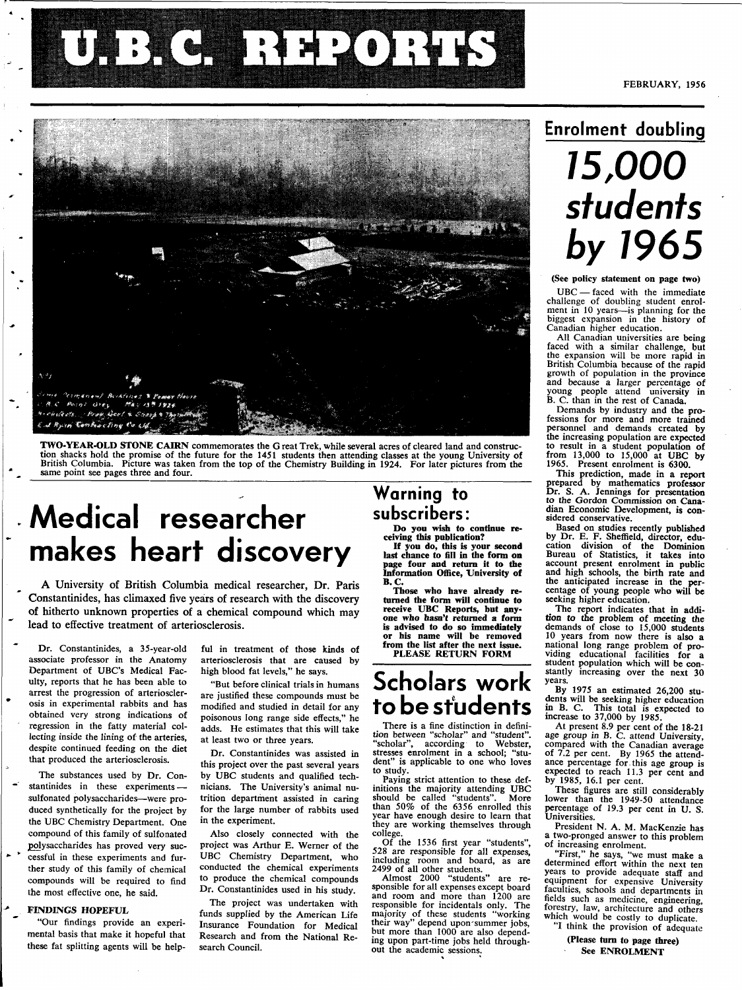# **illien** NH2ONHS



**TWO-YEAR-OLD STONE CAIRN** commemorates the G reat Trek, while several acres of cleared land and construction shacks hold the promise of the future for the 1451 students then attending classes at the young University of British Columbia. Picture was taken from the top of the Chemistry Building in 1924. For later pictures from

# **Medical researcher makes heart discovery**

A University of British Columbia medical researcher, Dr. Paris Constantinides, has climaxed five years of research with the discovery of hitherto unknown properties of a chemical compound which may lead to effective treatment of arteriosclerosis.

Dr. Constantinides, a 35-year-old associate professor in the Anatomy Department of UBC's Medical Faculty, reports that he has been able to arrest the progression of arteriosclerosis in experimental rabbits and has obtained very strong indications of regression in the fatty material collecting inside the lining of the arteries, despite continued feeding on the diet that produced the arteriosclerosis.

The substances used by Dr. Con stantinides in these experiments -sulfonated polysaccharides—were produced synthetically for the project by the UBC Chemistry Department. One compound of this family of sulfonated Polysaccharides has proved very suc cessful in these experiments and further study of this family of chemical compounds will be required to find the most effective one, he said.

#### *-\*•* **FINDINGS HOPEFUL**

\*

"Our findings provide an experimental basis that make it hopeful that these fat splitting agents will be helpful in treatment of those kinds of arteriosclerosis that are caused by high blood fat levels," he says.

"But before clinical trials in humans are justified these compounds must be modified and studied in detail for any poisonous long range side effects," he adds. He estimates that this will take at least two or three years.

Dr. Constantinides was assisted in this project over the past several years by UBC students and qualified technicians. The University's animal nutrition department assisted in caring for the large number of rabbits used in the experiment.

Also closely connected with the project was Arthur E. Werner of the UBC Chemistry Department, who conducted the chemical experiments to produce the chemical compounds Dr. Constantinides used in his study.

The project was undertaken with funds supplied by the American Life Insurance Foundation for Medical Research and from the National Research Council.

### **Warning to subscribers:**

**Do you wish to continue receiving this publication?** 

**If you do, this is your second last chance to fill in the form on page four and return it to the Information Office, University of B.C.** 

**Those who have already returned the form will continue to receive UBC Reports, but any-one who hasn't returned a form is advised to do so immediately or his name will be removed from the list after** the **next** issue.

#### PLEASE RETURN **FORM**

### **Scholars work to be students**

There is a fine distinction in definition between "scholar" and "student", "scholar", according to Webster, stresses enrolment in a school; "stu-dent" is applicable to one who loves to study.

Paying strict attention to these definitions the majority attending UBC should be called "students". More than 50% of the 6356 enrolled this year have enough desire to learn that they are working themselves through college.

Of the 1536 first year "students", 528 are responsible for all expenses, including room and board, as are 2499 of all other students.

Almost 2000 "students" are re-Almost 2000 "students" are re-<br>sponsible for all expenses except board and room and more than 1200 are responsible for incidentals only. The majority of these students "working their way" depend upon-summer jobs, but more than 1000 are also depending upon part-time jobs held throughout the academic sessions.

### **Enrolment doubling**

# **15,000 students by 1965**

(See policy **statement** on page **two)** 

UBC — faced with the immediate challenge of doubling student enrolment in 10 years—is planning for the biggest expansion in the history of Canadian higher education.

All Canadian universities are being All Canadian universities are being<br>faced with a similar challenge, but<br>the expansion will be more rapid in British Columbia because of the rapid growth of population in the province and because a larger percentage of young people attend university in B. C. than in the rest of Canada.

Demands by industry and the professions for more and more trained personnel and demands created by the increasing population are expected to result in a student population of from 13,000 to 15,000 at UBC by 1965. Present enrolment is 6300.

This prediction, made in **a** report prepared by mathematics professor Dr. S. A. Jennings for presentation to the Gordon Commission on Canadian Economic Development, **is** considered conservative.

Based on studies recently published by Dr. E. F. Sheffield, director, edu-cation division of the Dominion cation division of the Dominion<br>Bureau of Statistics, it takes into account present enrolment in public and high schools, the birth rate and the anticipated increase in the percentage of young people who **will** be seeking higher education.

The report indicates that in **addi-tion to the** problem of meeting the demands of close to 15,000 students 10 years from now there is also **a**  national long range problem of pro-viding educational facilities for a viding educational facilities for a student population which will be constantly increasing over the next 30 years.

By 1975 an estimated 26,200 students will be seeking higher education in B. C. This total is expected to increase to 37,000 by 1985.

At present 8.9 per cent of the 18-21 age group in B. C. attend University, compared with the Canadian average of 7.2 per cent. By 1965 the attendance percentage for.this age group is expected to reach 11.3 per cent and by 1985, 16.1 per cent.

These figures are still considerably lower than the 1949-50 attendance percentage of 19.3 per cent in U. S. Universities.

President N. A. M. MacKenzie has a two-pronged answer to this problem of increasing enrolment.

"First," he says, "we must make a determined effort within the next ten years to provide adequate staff and equipment for expensive University faculties, schools and departments in fields such as medicine, engineering, forestry, law, architecture and others which would be costly to duplicate. "I think the provision of adequate

(Please **turn to** page **three)**  See **ENROLMENT**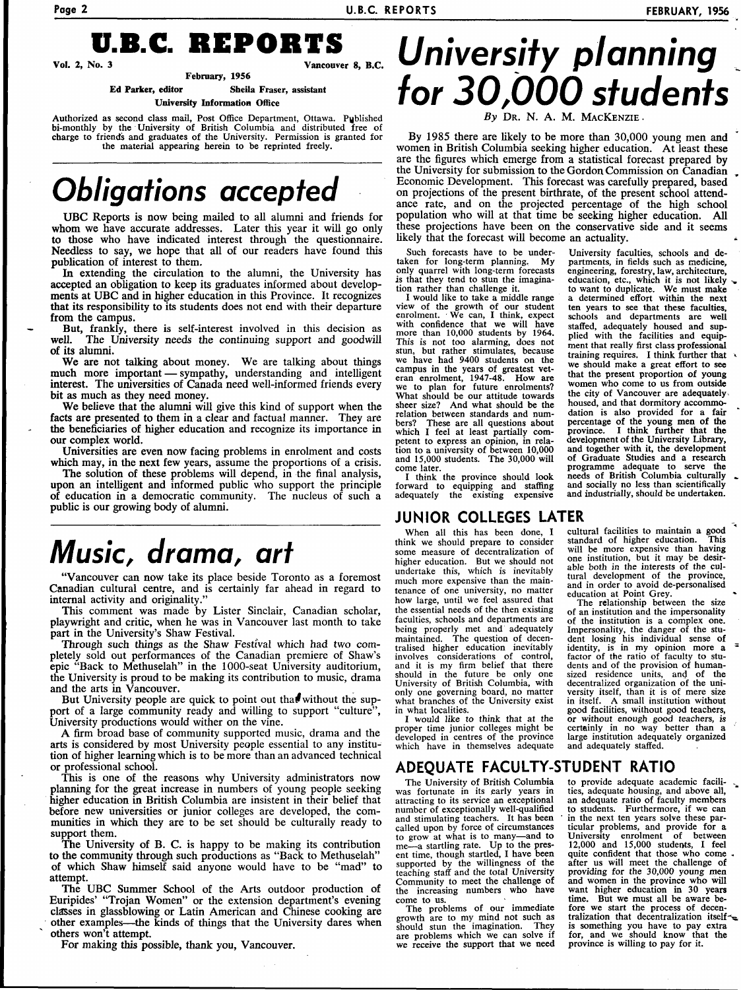

**February, 1956 Ed Parker, editor Sheila Fraser, assistant** 

**University Information Office** 

Authorized as second class mail, Post Office Department, Ottawa. Published bi-monthly by the University of British Columbia and distributed free of charge to friends and graduates of the University. Permission is granted for the material appearing herein to be reprinted freely.

# **Obligations accepted**

UBC Reports is now being mailed to all alumni and friends for whom we have accurate addresses. Later this year it will go only to those who have indicated interest through the questionnaire. Needless to say, we hope that all of our readers have found this publication of interest to them.

In extending the circulation to the alumni, the University has accepted an obligation to keep its graduates informed about developments at UBC and in higher education in this Province. It recognizes that its responsibility to its students does not end with their departure from the campus.

But, frankly, there is self-interest involved in this decision as well. The University needs the continuing support and goodwill The University needs the continuing support and goodwill of its alumni.

We are not talking about money. We are talking about things much more important — sympathy, understanding and intelligent interest. The universities of Canada need well-informed friends every bit as much as they need money.

We believe that the alumni will give this kind of support when the facts are presented to them in a clear and factual manner. They are the beneficiaries of higher education and recognize its importance in our complex world.

Universities are even now facing problems in enrolment and costs which may, in the next few years, assume the proportions of a crisis.

The solution of these problems will depend, in the final analysis, upon an intelligent and informed public who support the principle of education in a democratic community. The nucleus of such a public is our growing body of alumni.

# **Music, drama, art**

"Vancouver can now take its place beside Toronto as a foremost Canadian cultural centre, and is certainly far ahead in regard to internal activity and originality.

This comment was made by Lister Sinclair, Canadian scholar, playwright and critic, when he was in Vancouver last month to take part in the University's Shaw Festival.

Through such things as the Shaw Festival which had two completely sold out performances of the Canadian premiere of Shaw's epic "Back to Methuselah" in the 1000-seat University auditorium, the University is proud to be making its contribution to music, drama and the arts in Vancouver.

But University people are quick to point out that without the support of a large community ready and willing to support "culture", University productions would wither on the vine.

A firm broad base of community supported music, drama and the arts is considered by most University people essential to any institution of higher learning which is to be more than an advanced technical or professional school.

This is one of the reasons why University administrators now planning for the great increase in numbers of young people seeking higher education in British Columbia are insistent in their belief that before new universities or junior colleges are developed, the communities in which they are to be set should be culturally ready to support them.

The University of B. C. is happy to be making its contribution to the community through such productions as "Back to Methuselah" of which Shaw himself said anyone would have to be "mad" to attempt.

The UBC Summer School of the Arts outdoor production of Euripides' "Trojan Women" or the extension department's evening classes in glassblowing or Latin American and Chinese cooking are other examples—the kinds of things that the University dares when others won't attempt.

For making this possible, thank you, Vancouver.

# **University planning for 30,000 students**

DR. N. A. M. MACKENZIE

By 1985 there are likely to be more than 30,000 young men and women in British Columbia seeking higher education. At least these are the figures which emerge from a statistical forecast prepared by the University for submission to the Gordon Commission on Canadian Economic Development. This forecast was carefully prepared, based on projections of the present birthrate, of the present school attendance rate, and on the projected percentage of the high school population who will at that time be seeking higher education. All these projections have been on the conservative side and it seems likely that the forecast will become an actuality.

Such forecasts have to be undertaken for long-term planning. My only quarrel with long-term forecasts is that they tend to stun the imagina-tion rather than challenge it.

I would like to take a middle range view of the growth of our student enrolment. • We can, I think, expect with confidence that we will have more than 10,000 students by 1964. This is not too alarming, does not stun, but rather stimulates, because we have had 9400 students on the campus in the years of greatest vet-eran enrolment, 1947-48. How are we to plan for future enrolments? What should be our attitude towards sheer size? And what should be the relation between standards and numbers? These are all questions about which I feel at least partially comwhich T icer at least partially com-<br>petent to express an opinion, in rela-<br>tion to a university of between 10,000 and 15,000 students. The 30,000 will come later.

I think the province should look forward to equipping and staffing adequately the existing expensive

#### **JUNIOR COLLEGES LATER**

When all this has been done, I think we should prepare to consider some measure of decentralization of higher education. But we should not undertake this, which is inevitably much more expensive than the maintenance of one university, no matter how large, until we feel assured that the essential needs of the then existing faculties, schools and departments are being properly met and adequately being property filed and adequately tralised higher education inevitably involves considerations of control, myotycs considerations of control,<br>and it is my firm belief that there should in the future be only one University of British Columbia, with only one governing board, no matter what branches of the University exist in what localities.

I would like to think that at the proper time junior colleges might be developed in centres of the province which have in themselves adequate

cultural facilities to maintain a good standard of higher education. This will be more expensive than having one institution, but it may be desirable both in the interests of the cul-tural development of the province, and in order to avoid de-personalised education at Point Grey.

University faculties, schools and departments, in fields such as medicine, engineering, forestry, law, architecture, education, etc., which it is not likely to want to duplicate. We must make a determined effort within the next ten years to see that these faculties, schools and departments are well staffed, adequately housed and supplied with the facilities and equipment that really first class professional<br>training requires. I think further that we should make a great effort to see that the present proportion of young women who come to us from outside the city of Vancouver are adequately < the city of vancouver are adequately noused, and that dormitory accommodation is also provided for a fair percentage of the young men of the province. I think further that the<br>development of the University Library. development of the University Library, and together with it, the development of Graduate Studies and a research programme adequate to serve the needs of British Columbia culturally and socially no less than scientifically<br>and industrially, should be undertaken.

The relationship between the size of an institution and the impersonality of the institution is a complex one. Impersonality, the danger of the stu-<br>dent losing his individual sense of<br>identity, is in my opinion more a<br>factor of the ratio of faculty to stu-<br>dents and of the provision of human-<br>sized residence units, and of the<br>dece versity itself, than it is of mere size in itself. A small institution without in itself. A small institution without<br>good facilities, without good teachers, or without enough good teachers, is certainly in no way better than a large institution adequately organized and adequately staffed.

#### **ADEQUATE FACULTY-STUDENT RATIO**

The University of British Columbia was fortunate in its early years in attracting to its service an exceptional number of exceptionally well-qualified and stimulating teachers. It has been called upon by force of circumstances to grow at what is to many—and to me—a startling rate. Up to the present time, though startled, I have been supported by the willingness of the teaching staff and the total University Community to meet the challenge of the increasing numbers who have come to us.

The problems of our immediate growth are to my mind not such as should stun the imagination. They are problems which we can solve if we receive the support that we need to provide adequate academic facilities, adequate housing, and above all, an adequate ratio of faculty members to students. Furthermore, if we can in the next ten years solve these particular problems, and provide for a University enrolment of between 12,000 and 15,000 students, I feel quite confident that those who come , after us will meet the challenge of providing for the 30,000 young men and women in the province who will want higher education in 30 years time. But we must all be aware before we start the process of decentralization that decentralization itself^a Italization that decentralization itself<br>for, and we should know that the<br>province is willing to pay for it.